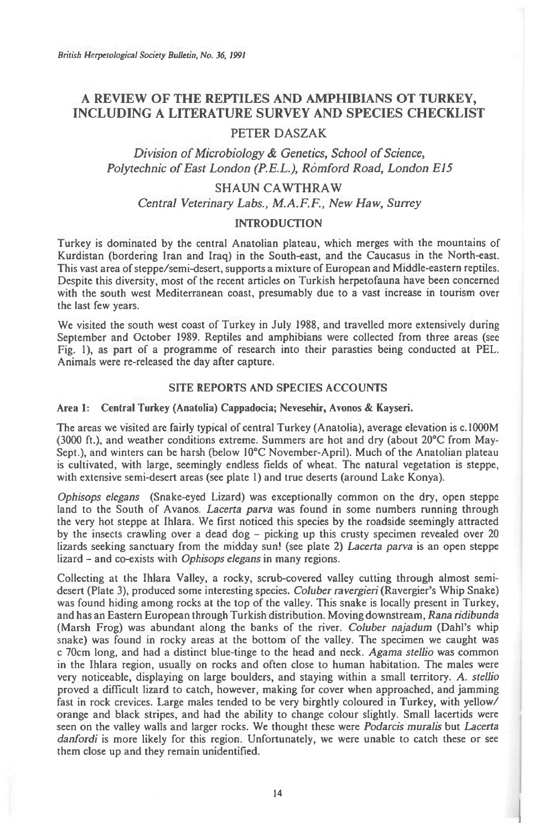# **A REVIEW OF THE REPTILES AND AMPHIBIANS OT TURKEY, INCLUDING A LITERATURE SURVEY AND SPECIES CHECKLIST**

## PETER DASZAK

## *Division of Microbiology & Genetics, School of Science,*  Polytechnic of East London (P.E.L.), Romford Road, London E15

### SHAUN CAWTHRAW

*Central Veterinary Labs., M.A.F.F., New Haw, Surrey* 

#### **INTRODUCTION**

Turkey is dominated by the central Anatolian plateau, which merges with the mountains of Kurdistan (bordering Iran and Iraq) in the South-east, and the Caucasus in the North-east. This vast area of steppe/semi-desert, supports a mixture of European and Middle-eastern reptiles. Despite this diversity, most of the recent articles on Turkish herpetofauna have been concerned with the south west Mediterranean coast, presumably due to a vast increase in tourism over the last few years.

We visited the south west coast of Turkey in July 1988, and travelled more extensively during September and October 1989. Reptiles and amphibians were collected from three areas (see Fig. 1), as part of a programme of research into their parasties being conducted at PEL. Animals were re-released the day after capture.

#### **SITE REPORTS AND SPECIES ACCOUNTS**

#### **Area 1: Central Turkey (Anatolia) Cappadocia; Nevesehir, Avonos & Kayseri.**

The areas we visited are fairly typical of central Turkey (Anatolia), average elevation is c.1000M (3000 ft.), and weather conditions extreme. Summers are hot and dry (about 20°C from May-Sept.), and winters can be harsh (below 10°C November-April). Much of the Anatolian plateau is cultivated, with large, seemingly endless fields of wheat. The natural vegetation is steppe, with extensive semi-desert areas (see plate I) and true deserts (around Lake Konya).

Ophisops elegans (Snake-eyed Lizard) was exceptionally common on the dry, open steppe land to the South of Avanos. Lacerta parva was found in some numbers running through the very hot steppe at Ihlara. We first noticed this species by the roadside seemingly attracted by the insects crawling over a dead dog  $-$  picking up this crusty specimen revealed over 20 lizards seeking sanctuary from the midday sun! (see plate 2) Lacerta parva is an open steppe lizard - and co-exists with Ophisops elegans in many regions.

Collecting at the Ihlara Valley, a rocky, scrub-covered valley cutting through almost semidesert (Plate 3), produced some interesting species. Coluber ravergieri (Ravergier's Whip Snake) was found hiding among rocks at the top of the valley. This snake is locally present in Turkey, and has an Eastern European through Turkish distribution. Moving downstream, Rana ridibunda (Marsh Frog) was abundant along the banks of the river. Coluber najadum (Dahl's whip snake) was found in rocky areas at the bottom of the valley. The specimen we caught was c 70cm long, and had a distinct blue-tinge to the head and neck. Agama stellio was common in the Ihlara region, usually on rocks and often close to human habitation. The males were very noticeable, displaying on large boulders, and staying within a small territory. *A. stellio*  proved a difficult lizard to catch, however, making for cover when approached, and jamming fast in rock crevices. Large males tended to be very birghtly coloured in Turkey, with yellow/ orange and black stripes, and had the ability to change colour slightly. Small lacertids were seen on the valley walls and larger rocks. We thought these were Podarcis muralis **but** Lacerta danfordi is more likely for this region. Unfortunately, we were unable to catch these or see them close up and they remain unidentified.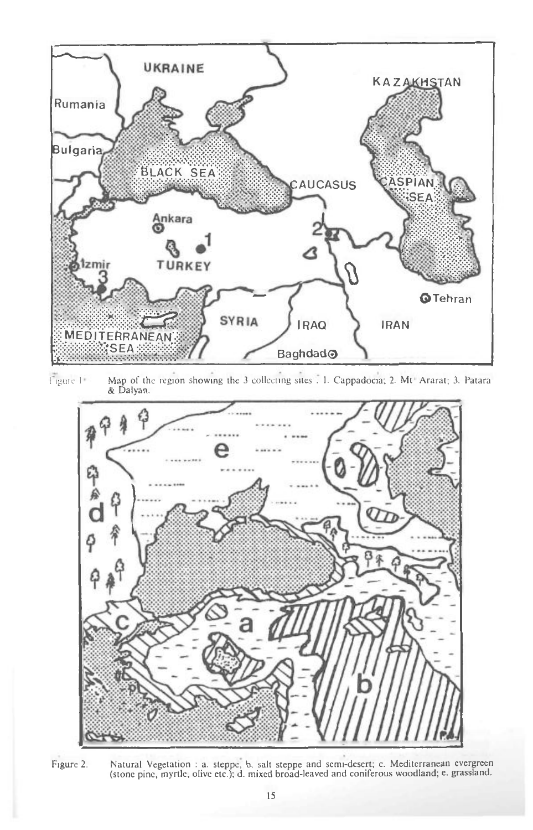

ligtue I Map of the region showing the 3 collecting sites . I. Cappadocia; 2. Mt Ararat; 3. Patara & Dalyan.



**Figure 2. Natural Vegetation : a. steppe, b. salt steppe and semi-desert; c. Mediterranean evergreen (stone pine, myrtle, olive etc.); d. mixed broad-leaved and coniferous woodland; e. grassland.**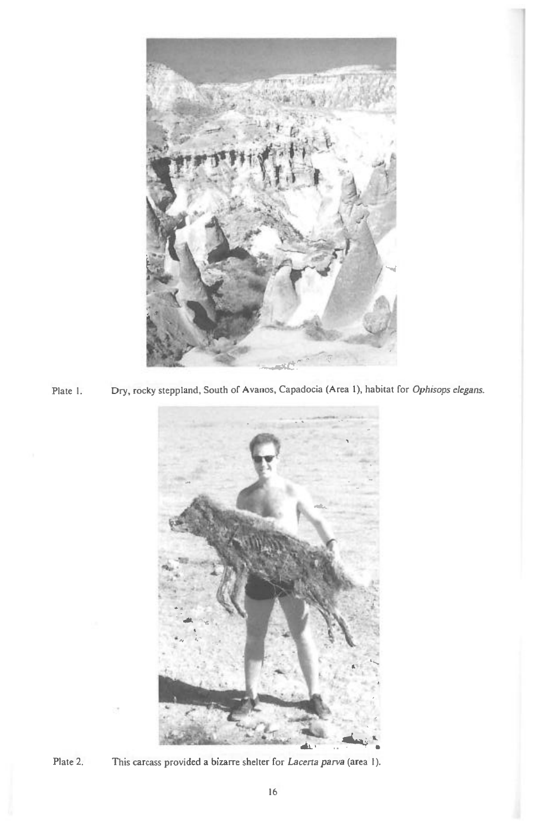

Plate I. Dry, rocky steppland, South of Avanos, Capadocia (Area 1), habitat for *Ophisops elegans.* 





Plate 2. This carcass provided a bizarre shelter for *Lacerta parva (area I).*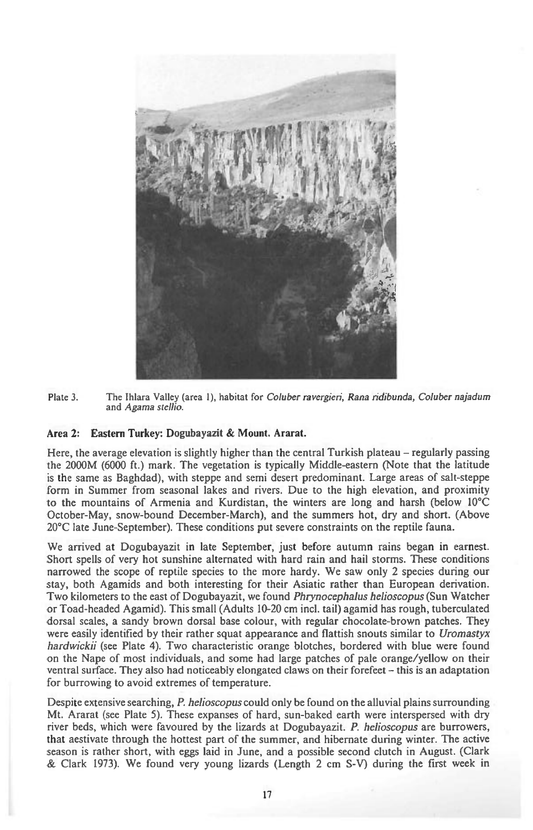

Plate 3. The Ihlara Valley (area 1), habitat for Coluber ravergieri, *Rana ndibunda, Coluber najadum*  and *Agama stellio.* 

#### **Area 2: Eastern Turkey: Dogubayazit & Mount. Ararat.**

Here, the average elevation is slightly higher than the central Turkish plateau – regularly passing the 2000M (6000 ft.) mark. The vegetation is typically Middle-eastern (Note that the latitude is the same as Baghdad), with steppe and semi desert predominant. Large areas of salt-steppe form in Summer from seasonal lakes and rivers. Due to the high elevation, and proximity to the mountains of Armenia and Kurdistan, the winters are long and harsh (below 10°C October-May, snow-bound December-March), and the summers hot, dry and short. (Above 20°C late June-September). These conditions put severe constraints on the reptile fauna.

We arrived at Dogubayazit in late September, just before autumn rains began in earnest. Short spells of very hot sunshine alternated with hard rain and hail storms. These conditions narrowed the scope of reptile species to the more hardy. We saw only 2 species during our stay, both Agamids and both interesting for their Asiatic rather than European derivation. Two kilometers to the east of Dogubayazit, we found *Phrynocephalus helioscopus* (Sun Watcher or Toad-headed Agamid). This small (Adults 10-20 cm incl. tail) agamid has rough, tuberculated dorsal scales, a sandy brown dorsal base colour, with regular chocolate-brown patches. They were easily identified by their rather squat appearance and flattish snouts similar to *Uromastyx hardwickii* (see Plate 4). Two characteristic orange blotches, bordered with blue were found on the Nape of most individuals, and some had large patches of pale orange/yellow on their ventral surface. They also had noticeably elongated claws on their forefeet — this is an adaptation for burrowing to avoid extremes of temperature.

Despite extensive searching, *P. helioscopus* could only be found on the alluvial plains surrounding Mt. Ararat (see Plate 5). These expanses of hard, sun-baked earth were interspersed with dry river beds, which were favoured by the lizards at Dogubayazit. *P. helioscopus* are burrowers, that aestivate through the hottest part of the summer, and hibernate during winter. The active season is rather short, with eggs laid in June, and a possible second clutch in August. (Clark & Clark 1973). We found very young lizards (Length 2 cm S-V) during the first week in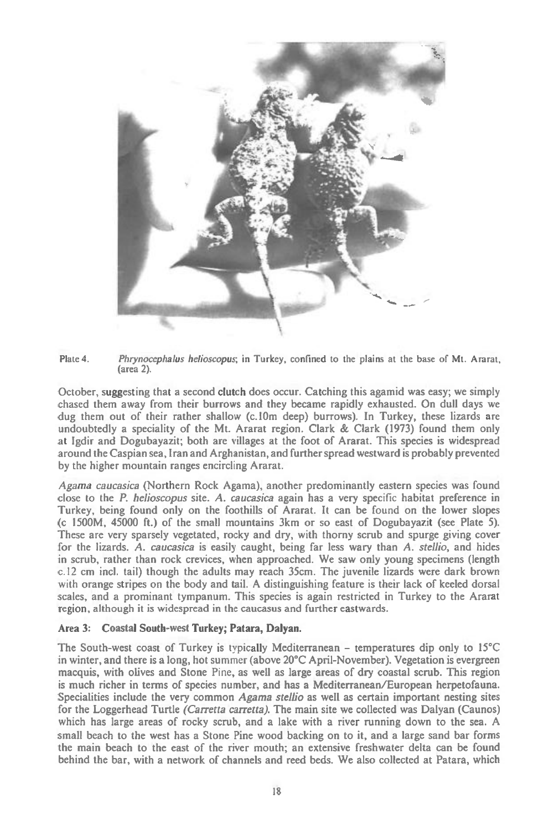



October, suggesting that a second clutch does occur. Catching this agamid was easy; we simply chased them away from their burrows and they became rapidly exhausted. On dull days we dug them out of their rather shallow (c.10m deep) burrows). In Turkey, these lizards are undoubtedly a speciality of the Mt. Ararat region. Clark  $\&$  Clark (1973) found them only at Igdir and Dogubayazit; both are villages at the foot of Ararat. This species is widespread around the Caspian sea, Iran and Arghanistan, and further spread westward is probably prevented by the higher mountain ranges encircling Ararat.

*Agama caucasica* (Northern Rock Agama), another predominantly eastern species was found close to the *P. helioscopus site. A. caucasica* again has a very specific habitat preference in Turkey, being found only on the foothills of Ararat. It can be found on the lower slopes (c 1500M, 45000 ft.) of the small mountains 3km or so east of Dogubayazit (see Plate 5). These are very sparsely vegetated, rocky and dry, with thorny scrub and spurge giving cover for the lizards. *A. caucasica* is easily caught, being far less wary than *A. stair',* and hides in scrub, rather than rock crevices, when approached. We saw only young specimens (length c.12 cm incl. tail) though the adults may reach 35cm. The juvenile lizards were dark brown with orange stripes on the body and tail. A distinguishing feature is their lack of keeled dorsal scales, and a prominant tympanum. This species is again restricted in Turkey to the Ararat region, although it is widespread in the caucasus and further eastwards.

#### Area **3: Coastal South-west Turkey; Patara, Dalyan.**

The South-west coast of Turkey is typically Mediterranean — temperatures dip only to 15°C in winter, and there is a long, hot summer (above 20°C April-November). Vegetation is evergreen macquis, with olives and Stone Pine, as well as large areas of dry coastal scrub. This region is much richer in terms of species number, and has a Mediterranean/European herpetofauna. Specialities include the very common *Agama stelho* as well as certain important nesting sites for the Loggerhead Turtle *(Carretta carretta).* The main site we collected was Dalyan (Caunos) which has large areas of rocky scrub, and a lake with a river running down to the sea. A small beach to the west has a Stone Pine wood backing on to it, and a large sand bar forms the main beach to the east of the river mouth; an extensive freshwater delta can be found behind the bar, with a network of channels and reed beds. We also collected at Patara, which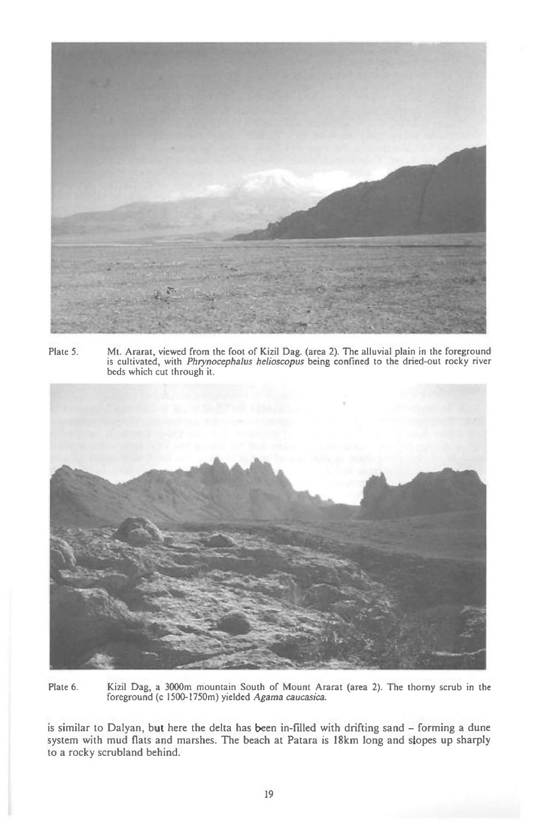

Plate 5. Mt. Ararat, viewed from the foot of Kizil Dag. (area 2). The alluvial plain in the foreground is cultivated, with *Phrynocephalus helioscopus* being confined to the dried-out rocky river beds which cut through it.



Plate 6. Kizil Dag, a 3000m mountain South of Mount Ararat (area 2). The thorny scrub in the foreground (c 1500-1750m) yielded Agama caucasica.

is similar to Dalyan, but here the delta has been in-filled with drifting sand — forming a dune system with mud flats and marshes. The beach at Patara is 18km long and slopes up sharply to a rocky scrubland behind.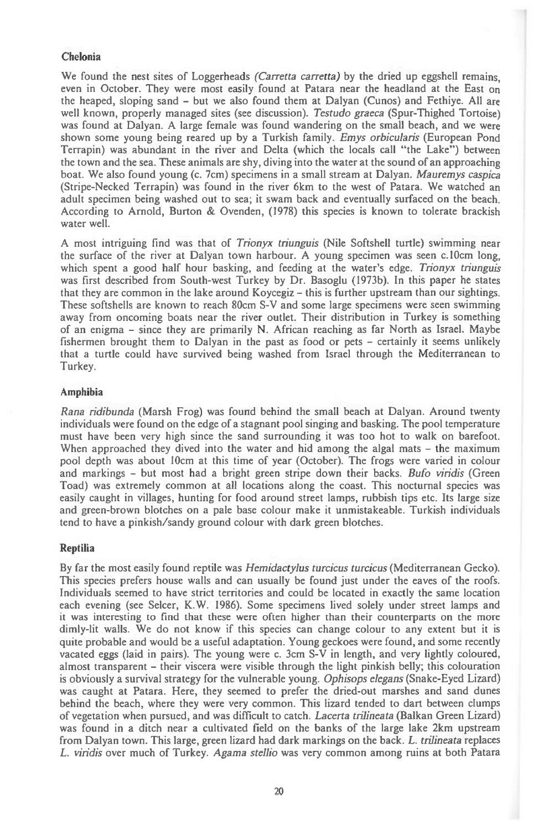## Chelonia

We found the nest sites of Loggerheads (Carretta carretta) by the dried up eggshell remains, even in October. They were most easily found at Patara near the headland at the East on the heaped, sloping sand — but we also found them at Dalyan (Cunos) and Fethiye. All are well known, properly managed sites (see discussion). Testudo graeca (Spur-Thighed Tortoise) was found at Dalyan. A large female was found wandering on the small beach, and we were shown some young being reared up by a Turkish family. Emys orbicularis (European Pond Terrapin) was abundant in the river and Delta (which the locals call "the Lake") between the town and the sea. These animals are shy, diving into the water at the sound of an approaching boat. We also found young (c. 7cm) specimens in a small stream at Dalyan. Mauremys caspica (Stripe-Necked Terrapin) was found in the river 6km to the west of Patara. We watched an adult specimen being washed out to sea; it swam back and eventually surfaced on the beach. According to Arnold, Burton & Ovenden, (1978) this species is known to tolerate brackish water well.

A most intriguing find was that of Trionyx triunguis (Nile Softshell turtle) swimming near the surface of the river at Dalyan town harbour. A young specimen was seen c.10cm long, which spent a good half hour basking, and feeding at the water's edge. Trionyx triunguis was first described from South-west Turkey by Dr. Basoglu (1973b). In this paper he states that they are common in the lake around Koycegiz — this is further upstream than our sightings. These softshells are known to reach 80cm S-V and some large specimens were seen swimming away from oncoming boats near the river outlet. Their distribution in Turkey is something of an enigma — since they are primarily N. African reaching as far North as Israel. Maybe fishermen brought them to Dalyan in the past as food or pets — certainly it seems unlikely that a turtle could have survived being washed from Israel through the Mediterranean to Turkey.

#### **Amphibia**

Rana ridibunda (Marsh Frog) was found behind the small beach at Dalyan. Around twenty individuals were found on the edge of a stagnant pool singing and basking. The pool temperature must have been very high since the sand surrounding it was too hot to walk on barefoot. When approached they dived into the water and hid among the algal mats — the maximum pool depth was about 10cm at this time of year (October). The frogs were varied in colour and markings — but most had a bright green stripe down their backs. Bufo viridis (Green Toad) was extremely common at all locations along the coast. This nocturnal species was easily caught in villages, hunting for food around street lamps, rubbish tips etc. Its large size and green-brown blotches on a pale base colour make it unmistakeable. Turkish individuals tend to have a pinkish/sandy ground colour with dark green blotches.

### **Reptilia**

**By far the** most easily found reptile was Hemidactylus turcicus turcicus (Mediterranean Gecko). This species prefers house walls and can usually be found just under the eaves of the roofs. Individuals seemed to have strict territories and could be located in exactly the same location each evening (see Selcer, K.W. 1986). Some specimens lived solely under street lamps and it was interesting to find that these were often higher than their counterparts on the more dimly-lit walls. We do not know if this species can change colour to any extent but it is quite probable and would be a useful adaptation. Young geckoes were found, and some recently vacated eggs (laid in pairs). The young were c. 3cm S-V in length, and very lightly coloured, almost transparent — their viscera were visible through the light pinkish belly; this colouration is obviously a survival strategy for the vulnerable young. Ophisops elegans (Snake-Eyed Lizard) was caught at Patara. Here, they seemed to prefer the dried-out marshes and sand dunes behind the beach, where they were very common. This lizard tended to dart between clumps of vegetation when pursued, and was difficult to catch. Lacerta trilineata (Balkan Green Lizard) was found in a ditch near a cultivated field on the banks of the large lake 2km upstream from Dalyan town. This large, green lizard had dark markings on the back. L. trilineata replaces L. viridis over much of Turkey. Agama stellio was very common among ruins at both Patara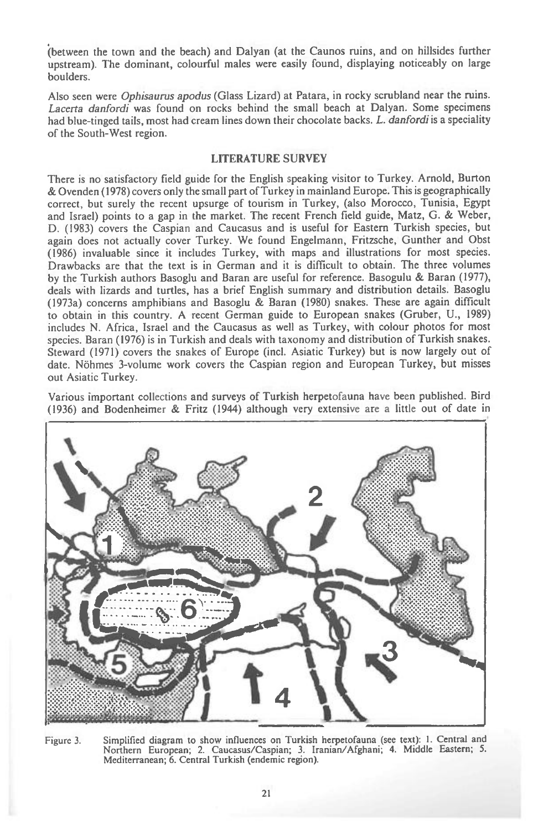(between the town and the beach) and Dalyan (at the Caunos ruins, and on hillsides further upstream). The dominant, colourful males were easily found, displaying noticeably on large boulders.

Also seen were *Ophisaurus apodus* (Glass Lizard) at Patara, in rocky scrubland near the ruins. *Lacerta danfordi* was found on rocks behind the small beach at Dalyan. Some specimens had blue-tinged tails, most had cream lines down their chocolate backs. *L. danfordi is* a speciality of the South-West region.

#### LITERATURE SURVEY

There is no satisfactory field guide for the English speaking visitor to Turkey. Arnold, Burton & Ovenden (1978) covers only the small part of Turkey in mainland Europe. This is geographically correct, but surely the recent upsurge of tourism in Turkey, (also Morocco, Tunisia, Egypt and Israel) points to a gap in the market. The recent French field guide, Matz, G. & Weber, D. (1983) covers the Caspian and Caucasus and is useful for Eastern Turkish species, but again does not actually cover Turkey. We found Engelmann, Fritzsche, Gunther and Obst (1986) invaluable since it includes Turkey, with maps and illustrations for most species. Drawbacks are that the text is in German and it is difficult to obtain. The three volumes by the Turkish authors Basoglu and Baran are useful for reference. Basogulu & Baran (1977), deals with lizards and turtles, has a brief English summary and distribution details. Basoglu (1973a) concerns amphibians and Basoglu & Baran (1980) snakes. These are again difficult to obtain in this country. A recent German guide to European snakes (Gruber, U., 1989) includes N. Africa, Israel and the Caucasus as well as Turkey, with colour photos for most species. Baran (1976) is in Turkish and deals with taxonomy and distribution of Turkish snakes. Steward (1971) covers the snakes of Europe (incl. Asiatic Turkey) but is now largely out of date. Nohmes 3-volume work covers the Caspian region and European Turkey, but misses out Asiatic Turkey.

Various important collections and surveys of Turkish herpetofauna have been published. Bird (1936) and Bodenheimer & Fritz (1944) although very extensive are a little out of date in



Figure 3. Simplified diagram to show influences on Turkish herpetofauna (see text): 1. Central and Northern European; 2. Caucasus/Caspian; 3. Iranian/Afghani; 4. Middle Eastern; 5. Mediterranean; 6. Central Turkish (endemic region).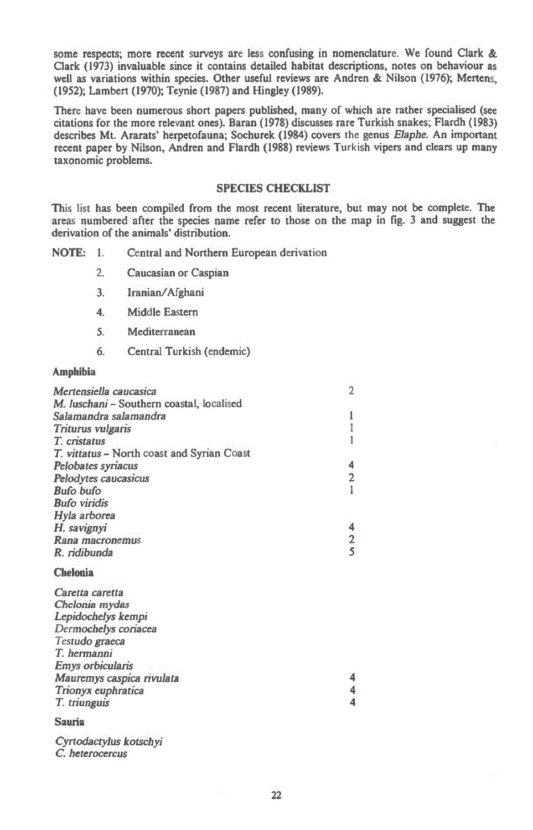**some respects; more recent surveys are less confusing in nomenclature. We found Clark & Clark (1973) invaluable since it contains detailed habitat descriptions, notes on behaviour as well as variations within species. Other useful reviews are Andren & Nilson (1976); Mertens, (1952); Lambert (1970); Teynie (1987) and Hingley (1989).** 

**There have been numerous short papers published, many of which are rather specialised** (see **citations for the more relevant ones). Baran (1978) discusses rare Turkish snakes; Flardh (1983) describes Mt. Ararats' herpetofauna; Sochurek (1984) covers the genus** *Elaphe.* **An important recent paper by Nilson, Andren and Flardh (1988) reviews** Turkish **vipers and clears up many taxonomic problems.** 

#### **SPECIES CHECKLIST**

**This list has been compiled from the most recent literature, but may not be complete. The areas numbered after the species name refer to those on the map in fig. 3 and suggest the derivation of the animals' distribution.** 

**NOTE: 1. Central and Northern European derivation** 

- **2. Caucasian or Caspian**
- **3. Iranian/Afghani**
- **4. Middle Eastern**
- **5. Mediterranean**
- **6. Central Turkish (endemic)**

#### **Amphibia**

| Mertensiella caucasica                     |               |
|--------------------------------------------|---------------|
| M. luschani - Southern coastal, localised  |               |
| Salamandra salamandra                      |               |
| Triturus vulgaris                          |               |
| T. cristatus                               |               |
| T. vittatus – North coast and Syrian Coast |               |
| Pelobates syriacus                         | 4             |
| Pelodytes caucasicus                       | 2             |
| Bufo bufo                                  |               |
| <b>Bufo viridis</b>                        |               |
| Hyla arborea                               |               |
| H. savignyi                                | 4             |
| Rana macronemus                            | $\frac{2}{5}$ |
| R. ridibunda                               |               |
| <b>Chelonia</b>                            |               |
| Caretta caretta                            |               |
| Chelonia mydas                             |               |
| Lepidochelys kempi                         |               |
| Dermochelys coriacea                       |               |
| Testudo graeca                             |               |
| T. hermanni                                |               |
| Emys orbicularis                           |               |

*Mauremys caspica rivulata* **4**  *Trionyx euphratica* **4**  *T. triunguis* **4** 

#### **Sauria**

*Cyrtodactylus kotschyi C heterocercus*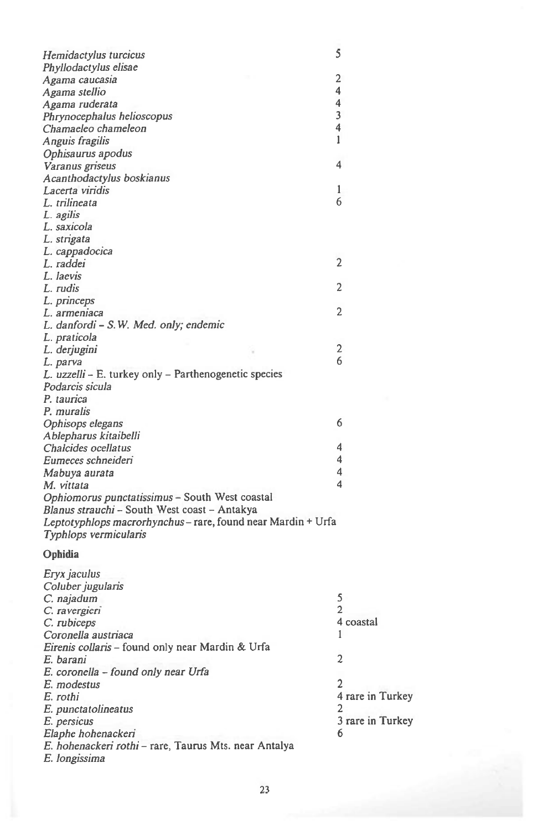| Hemidactylus turcicus                                      | 5              |
|------------------------------------------------------------|----------------|
| Phyllodactylus elisae                                      |                |
| Agama caucasia                                             | 2              |
| Agama stellio                                              | 4              |
| Agama ruderata                                             | 4              |
| Phrynocephalus helioscopus                                 | 3              |
| Chamaeleo chameleon                                        | 4              |
| Anguis fragilis                                            | 1              |
| Ophisaurus apodus                                          |                |
| Varanus griseus                                            | 4              |
| Acanthodactylus boskianus                                  |                |
| Lacerta viridis                                            | 1              |
| L. trilineata                                              | 6              |
| L. agilis                                                  |                |
| L. saxicola                                                |                |
| L. strigata                                                |                |
| L. cappadocica                                             |                |
| L. raddei                                                  | $\overline{2}$ |
| L. laevis                                                  |                |
| L. rudis                                                   | 2              |
| L. princeps                                                |                |
| L. armeniaca                                               | $\overline{2}$ |
| L. danfordi – S.W. Med. only; endemic                      |                |
| L. praticola                                               |                |
| L. derjugini                                               | 2              |
| L. parva                                                   | 6              |
| L. uzzelli – E. turkey only – Parthenogenetic species      |                |
| Podarcis sicula                                            |                |
| P. taurica                                                 |                |
| P. muralis                                                 |                |
| Ophisops elegans                                           | 6              |
| Ablepharus kitaibelli                                      |                |
| Chalcides ocellatus                                        | 4              |
| Eumeces schneideri                                         | 4              |
| Mabuya aurata                                              | 4              |
| M. vittata                                                 | 4              |
| Ophiomorus punctatissimus - South West coastal             |                |
| Blanus strauchi - South West coast - Antakya               |                |
| Leptotyphlops macrorhynchus-rare, found near Mardin + Urfa |                |
| Typhlops vermicularis                                      |                |
|                                                            |                |
| Ophidia                                                    |                |
| Eryx jaculus                                               |                |
| Coluber jugularis                                          |                |
| C. najadum                                                 | 5              |
| C. ravergieri                                              | 2              |
| C. rubiceps                                                | 4 coastal      |
| Coronella austriaca                                        | 1              |
| Eirenis collaris - found only near Mardin & Urfa           |                |
| E. barani                                                  | $\overline{c}$ |
| E. coronella – found only near Urfa                        |                |
| E. modestus                                                | $\overline{2}$ |
| E. rothi                                                   | 4 rare in      |
| E. punctatolineatus                                        | 2              |
| E. persicus                                                | 3 rare in      |
| Elaphe hohenackeri                                         | 6              |
| E. hohenackeri rothi - rare, Taurus Mts. near Antalya      |                |
|                                                            |                |

*E. rothi* 4 rare in Turkey

*E. persicus* 3 rare in Turkey

*E. longissima*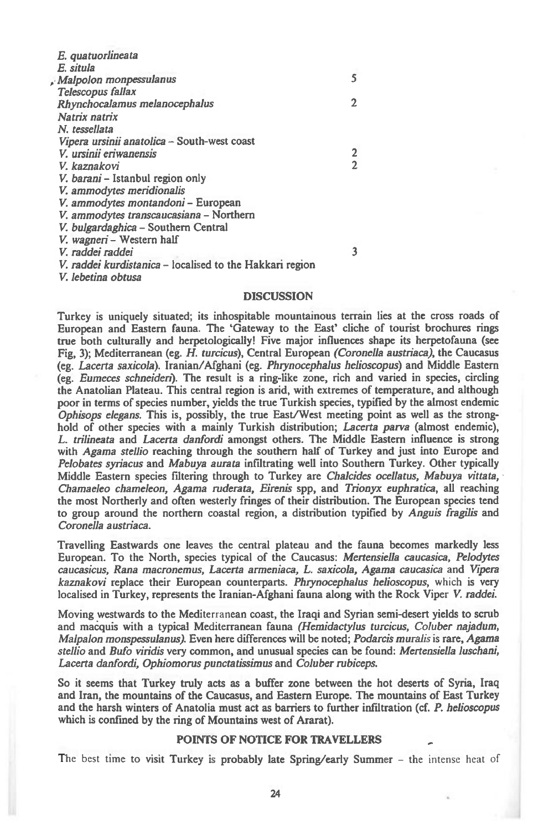| E. quatuorlineata                                        |                |
|----------------------------------------------------------|----------------|
| E. situla                                                |                |
| Malpolon monpessulanus                                   | 5              |
| Telescopus fallax                                        |                |
| Rhynchocalamus melanocephalus                            | 2              |
| Natrix natrix                                            |                |
| N. tessellata                                            |                |
| Vipera ursinii anatolica - South-west coast              |                |
| V. ursinii eriwanensis                                   |                |
| V. kaznakovi                                             | $\overline{2}$ |
| V. barani – Istanbul region only                         |                |
| V. ammodytes meridionalis                                |                |
| V. ammodytes montandoni - European                       |                |
| V. ammodytes transcaucasiana - Northern                  |                |
| V. bulgardaghica – Southern Central                      |                |
| V. wagneri - Western half                                |                |
| V. raddei raddei                                         | 3              |
| V. raddei kurdistanica – localised to the Hakkari region |                |
| V. lebetina obtusa                                       |                |
|                                                          |                |

#### **DISCUSSION**

**Turkey is uniquely situated; its inhospitable mountainous terrain lies at the cross roads of European and Eastern fauna. The 'Gateway to the East' cliche of tourist brochures rings true both culturally and herpetologically! Five major influences shape its herpetofauna (see Fig, 3); Mediterranean (eg.** *H. turcicus),* **Central European** *(Coronella austriaca),* **the Caucasus (eg.** *Lacerta saxicola).* **Iranian/Afghani (eg.** *Pluynocephalus helioscopus)* **and Middle Eastern (eg.** *Eumeces schneiden).* **The result is a ring-like zone, rich and varied in species, circling the Anatolian Plateau. This central region is arid, with extremes of temperature, and although poor in terms of species number, yields the true Turkish species, typified by the almost endemic**  *Ophisops elegans.* **This is, possibly, the true East/West meeting point as well as the stronghold of other species with a mainly Turkish distribution;** *Lacerta parva* **(almost** *endemic), L. trilineata* **and** *Lacerta danfordi* **amongst others. The Middle Eastern influence is strong with** *Agama stellio* **reaching through the southern half of Turkey and just into Europe and**  *Pelobates syriacus* **and** *Mabuya aurata* **infiltrating well into Southern Turkey. Other typically Middle Eastern species filtering through to Turkey** *are Chalcides ocellatus, Mabuya vittata, Chamaeleo chameleon, Agama ruderata, Eirenis* **spp, and** *Trionyx euphratica,* **all reaching the most Northerly and often westerly fringes of their distribution. The European species tend to group around the northern coastal region, a distribution typified by** *Anguis fragilis* **and**  *Coronella austriaca.* 

**Travelling Eastwards one leaves the central plateau and the fauna becomes markedly less European. To the North, species typical of the Caucasus:** *Mertensiella caucasica, Pelodytes caucasicus, Rana macronemus, Lacerta armeniaca, L. saxicola, Agama caucasica* **and** *Vipera kaznakovi* **replace their European counterparts.** *Phrynocephalus helioscopus,* which **is very localised in Turkey, represents the Iranian-Afghani fauna along with the Rock Viper V.** *raddei.* 

**Moving westwards to the Mediterranean coast, the Iraqi and Syrian semi-desert yields to scrub and macquis with a typical Mediterranean fauna** *(Hemidactylus turcicus, Coluber najadum, Malpalon monspessulanus).* **Even here differences will be noted;** *Podarcis muralis* is **rare,** *Agama stellio* **and** *Bufo viridis* **very common, and unusual species can be found:** *Mertensiella luschani, Lacerta danfordi, Ophiomorus punctatissimus* **and** *Coluber rubiceps.* 

**So it seems that Turkey truly acts as a buffer zone between the hot deserts of Syria, Iraq and Iran, the mountains of the Caucasus, and Eastern Europe. The mountains of East Turkey and the harsh winters of Anatolia must act as barriers to further infiltration (cf.** *P. helioscopus*  **which is confined by the ring of Mountains west of Ararat).** 

#### **POINTS OF NOTICE FOR TRAVELLERS**

The best time **to visit Turkey is probably late Spring/early Summer -** the intense heat of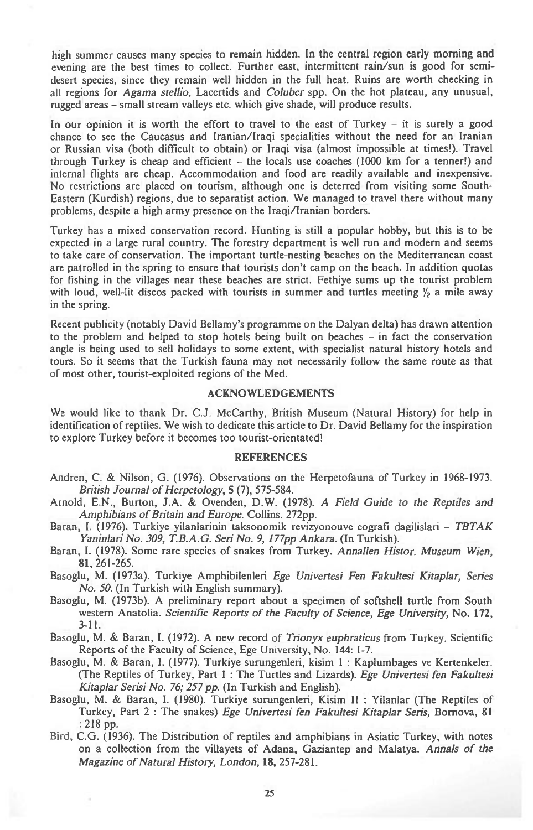high summer causes many species to remain hidden. In the central region early morning and evening are the best times to collect. Further east, intermittent rain/sun is good for semidesert species, since they remain well hidden in the full heat. Ruins are worth checking in all regions for *Agama stellio,* Lacertids and *Coluber* spp. On the hot plateau, any unusual, rugged areas — small stream valleys etc. which give shade, will produce results.

In our opinion it is worth the effort to travel to the east of Turkey — it is surely a good chance to see the Caucasus and Iranian/Iraqi specialities without the need for an Iranian or Russian visa (both difficult to obtain) or Iraqi visa (almost impossible at times!). Travel through Turkey is cheap and efficient — the locals use coaches (1000 km for a termer!) and internal flights are cheap. Accommodation and food are readily available and inexpensive. No restrictions are placed on tourism, although one is deterred from visiting some South-Eastern (Kurdish) regions, due to separatist action. We managed to travel there without many problems, despite a high army presence on the Iraqi/Iranian borders.

Turkey has a mixed conservation record. Hunting is still a popular hobby, but this is to be expected in a large rural country. The forestry department is well run and modern and seems to take care of conservation. The important turtle-nesting beaches on the Mediterranean coast are patrolled in the spring to ensure that tourists don't camp on the beach. In addition quotas for fishing in the villages near these beaches are strict. Fethiye sums up the tourist problem with loud, well-lit discos packed with tourists in summer and turtles meeting  $\frac{1}{2}$  a mile away in the spring.

Recent publicity (notably David Bellamy's programme on the Dalyan delta) has drawn attention to the problem and helped to stop hotels being built on beaches — in fact the conservation angle is being used to sell holidays to some extent, with specialist natural history hotels and tours. So it seems that the Turkish fauna may not necessarily follow the same route as that of most other, tourist-exploited regions of the Med.

#### ACKNOWLEDGEMENTS

We would like to thank Dr. C.J. McCarthy, British Museum (Natural History) for help in identification of reptiles. We wish to dedicate this article to Dr. David Bellamy for the inspiration to explore Turkey before it becomes too tourist-orientated!

#### REFERENCES

- Andren, C. & Nilson, G. (1976). Observations on the Herpetofauna of Turkey in 1968-1973. *British Journal of Herpetology,* **5** (7), 575-584.
- Arnold, E.N., Burton, J.A. & Ovenden, D.W. (1978). A *Field Guide to the Reptiles and Amphibians of Britain and Europe.* Collins. 272pp.

Baran, I. (1976). Turkiye yilanlarinin taksonomik revizyonouve cografi dagilislari — *TBTAK Yaninlari No. 309, T.B.A.G. Seri No. 9, 177pp Ankara.* (In Turkish).

Baran, I. (1978). Some rare species of snakes from Turkey. *Annallen Histor. Museum Wien,*  **81,** 261-265.

Basoglu, M. (1973a). Turkiye Amphibilenleri *Ege Univertesi Fen Fakultesi Kitaplar, Series No. 50.* (In Turkish with English summary).

- Basoglu, M. (1973b). A preliminary report about a specimen of softshell turtle from South western Anatolia. *Scientific Reports of the Faculty of Science, Ege University,* No. **172,**  3-11.
- Basoglu, M. & Baran, I. (1972). A new record of *Trionyx euphraticus* from Turkey. Scientific Reports of the Faculty of Science, Ege University, No. 144: 1-7.
- Basoglu, M. & Baran, I. (1977). Turkiye surungenleri, kisim 1 : Kaplumbages ve Kertenkeler. (The Reptiles of Turkey, Part 1 : The Turtles and Lizards). *Ege Univertesi fen Fakultesi Kitaplar Serisi No. 76; 257 pp.* (In Turkish and English).
- Basoglu, M. & Baran, I. (1980). Turkiye surungenleri, Kisim H : Yilanlar (The Reptiles of Turkey, Part 2 : The snakes) *Ege Univertesi fen Fakultesi Kitaplar Seris,* Bornova, 81 : 218 pp.
- Bird, C.G. (1936). The Distribution of reptiles and amphibians in Asiatic Turkey, with notes on a collection from the villayets of Adana, Gaziantep and Malatya. *Annals of the Magazine of Natural History, London,* **18,** 257-281.